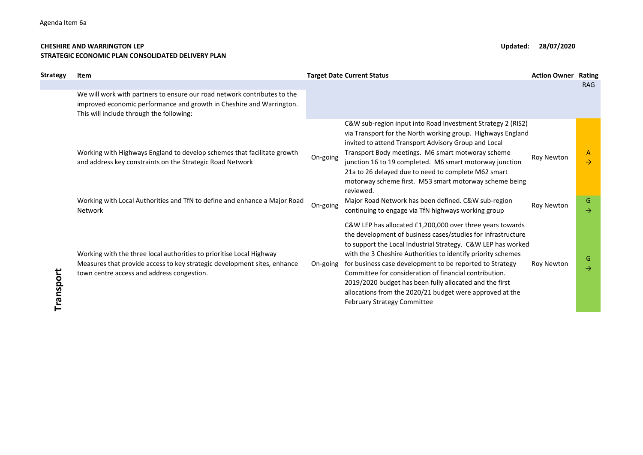## CHESHIRE AND WARRINGTON LEP **Updated:** 28/07/2020 STRATEGIC ECONOMIC PLAN CONSOLIDATED DELIVERY PLAN

| Strategy  | Item                                                                                                                                                                                                                         |                      | <b>Target Date Current Status</b>                                                                                                                                                                                                                                                                                                                                                                                                                                                                                                              | <b>Action Owner</b>      | <b>Rating</b>                            |
|-----------|------------------------------------------------------------------------------------------------------------------------------------------------------------------------------------------------------------------------------|----------------------|------------------------------------------------------------------------------------------------------------------------------------------------------------------------------------------------------------------------------------------------------------------------------------------------------------------------------------------------------------------------------------------------------------------------------------------------------------------------------------------------------------------------------------------------|--------------------------|------------------------------------------|
|           | We will work with partners to ensure our road network contributes to the<br>improved economic performance and growth in Cheshire and Warrington.<br>This will include through the following:                                 |                      |                                                                                                                                                                                                                                                                                                                                                                                                                                                                                                                                                |                          | <b>RAG</b>                               |
|           | Working with Highways England to develop schemes that facilitate growth<br>and address key constraints on the Strategic Road Network<br>Working with Local Authorities and TfN to define and enhance a Major Road<br>Network | On-going<br>On-going | C&W sub-region input into Road Investment Strategy 2 (RIS2)<br>via Transport for the North working group. Highways England<br>invited to attend Transport Advisory Group and Local<br>Transport Body meetings. M6 smart motworay scheme<br>junction 16 to 19 completed. M6 smart motorway junction<br>21a to 26 delayed due to need to complete M62 smart<br>motorway scheme first. M53 smart motorway scheme being<br>reviewed.<br>Major Road Network has been defined. C&W sub-region<br>continuing to engage via TfN highways working group | Roy Newton<br>Roy Newton | A<br>$\rightarrow$<br>G<br>$\rightarrow$ |
| Transport | Working with the three local authorities to prioritise Local Highway<br>Measures that provide access to key strategic development sites, enhance<br>town centre access and address congestion.                               | On-going             | C&W LEP has allocated £1,200,000 over three years towards<br>the development of business cases/studies for infrastructure<br>to support the Local Industrial Strategy. C&W LEP has worked<br>with the 3 Cheshire Authorities to identify priority schemes<br>for business case development to be reported to Strategy<br>Committee for consideration of financial contribution.<br>2019/2020 budget has been fully allocated and the first<br>allocations from the 2020/21 budget were approved at the<br><b>February Strategy Committee</b>   | Roy Newton               | G<br>$\rightarrow$                       |
|           |                                                                                                                                                                                                                              |                      |                                                                                                                                                                                                                                                                                                                                                                                                                                                                                                                                                |                          |                                          |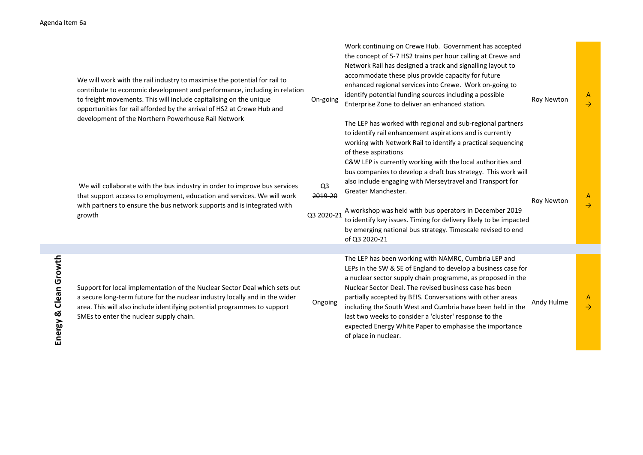| da Item 6a               |                                                                                                                                                                                                                                                                                                                                                               |                                         |                                                                                                                                                                                                                                                                                                                                                                                                                                                                                                                                              |                   |                               |
|--------------------------|---------------------------------------------------------------------------------------------------------------------------------------------------------------------------------------------------------------------------------------------------------------------------------------------------------------------------------------------------------------|-----------------------------------------|----------------------------------------------------------------------------------------------------------------------------------------------------------------------------------------------------------------------------------------------------------------------------------------------------------------------------------------------------------------------------------------------------------------------------------------------------------------------------------------------------------------------------------------------|-------------------|-------------------------------|
|                          | We will work with the rail industry to maximise the potential for rail to<br>contribute to economic development and performance, including in relation<br>to freight movements. This will include capitalising on the unique<br>opportunities for rail afforded by the arrival of HS2 at Crewe Hub and<br>development of the Northern Powerhouse Rail Network | On-going                                | Work continuing on Crewe Hub. Government has accepted<br>the concept of 5-7 HS2 trains per hour calling at Crewe and<br>Network Rail has designed a track and signalling layout to<br>accommodate these plus provide capacity for future<br>enhanced regional services into Crewe. Work on-going to<br>identify potential funding sources including a possible<br>Enterprise Zone to deliver an enhanced station.<br>The LEP has worked with regional and sub-regional partners<br>to identify rail enhancement aspirations and is currently | <b>Roy Newton</b> | $\mathsf{A}$<br>$\rightarrow$ |
|                          | We will collaborate with the bus industry in order to improve bus services<br>that support access to employment, education and services. We will work<br>with partners to ensure the bus network supports and is integrated with<br>growth                                                                                                                    | Q <sub>3</sub><br>2019-20<br>Q3 2020-21 | working with Network Rail to identify a practical sequencing<br>of these aspirations<br>C&W LEP is currently working with the local authorities and<br>bus companies to develop a draft bus strategy. This work will<br>also include engaging with Merseytravel and Transport for<br>Greater Manchester.<br>A workshop was held with bus operators in December 2019<br>to identify key issues. Timing for delivery likely to be impacted<br>by emerging national bus strategy. Timescale revised to end<br>of Q3 2020-21                     | Roy Newton        | A<br>$\rightarrow$            |
|                          |                                                                                                                                                                                                                                                                                                                                                               |                                         | The LEP has been working with NAMRC, Cumbria LEP and<br>LEPs in the SW & SE of England to develop a business case for                                                                                                                                                                                                                                                                                                                                                                                                                        |                   |                               |
| Clean Growth<br>Energy & | Support for local implementation of the Nuclear Sector Deal which sets out<br>a secure long-term future for the nuclear industry locally and in the wider<br>area. This will also include identifying potential programmes to support<br>SMEs to enter the nuclear supply chain.                                                                              | Ongoing                                 | a nuclear sector supply chain programme, as proposed in the<br>Nuclear Sector Deal. The revised business case has been<br>partially accepted by BEIS. Conversations with other areas<br>including the South West and Cumbria have been held in the<br>last two weeks to consider a 'cluster' response to the<br>expected Energy White Paper to emphasise the importance<br>of place in nuclear.                                                                                                                                              | Andy Hulme        | A<br>$\rightarrow$            |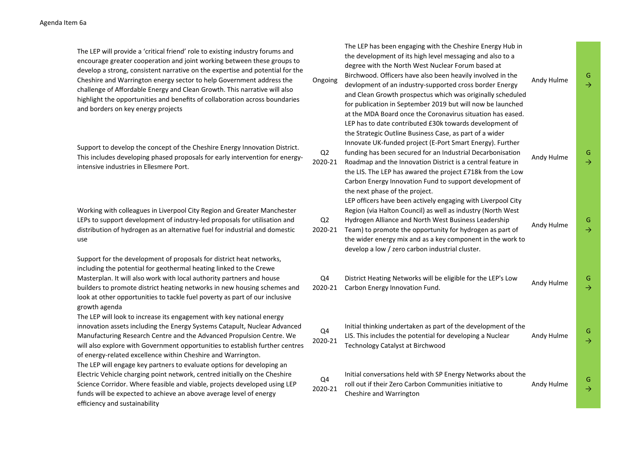The LEP will provide a 'critical friend' role to existing industry forums and encourage greater cooperation and joint working between these groups to develop a strong, consistent narrative on the expertise and potential for the Cheshire and Warrington energy sector to help Government address the challenge of Affordable Energy and Clean Growth. This narrative will also highlight the opportunities and benefits of collaboration across boundaries and borders on key energy projects

Support to develop the concept of the Cheshire Energy Innovation District. This includes developing phased proposals for early intervention for energyintensive industries in Ellesmere Port.

Working with colleagues in Liverpool City Region and Greater Manchester LEPs to support development of industry-led proposals for utilisation and distribution of hydrogen as an alternative fuel for industrial and domestic use

Support for the development of proposals for district heat networks, including the potential for geothermal heating linked to the Crewe Masterplan. It will also work with local authority partners and house builders to promote district heating networks in new housing schemes and look at other opportunities to tackle fuel poverty as part of our inclusive growth agenda

The LEP will look to increase its engagement with key national energy innovation assets including the Energy Systems Catapult, Nuclear Advanced Manufacturing Research Centre and the Advanced Propulsion Centre. We will also explore with Government opportunities to establish further centres of energy-related excellence within Cheshire and Warrington. The LEP will engage key partners to evaluate options for developing an Electric Vehicle charging point network, centred initially on the Cheshire Science Corridor. Where feasible and viable, projects developed using LEP funds will be expected to achieve an above average level of energy efficiency and sustainability

| Ongoing                   | The LEP has been engaging with the Cheshire Energy Hub in<br>the development of its high level messaging and also to a<br>degree with the North West Nuclear Forum based at<br>Birchwood. Officers have also been heavily involved in the<br>devlopment of an industry-supported cross border Energy<br>and Clean Growth prospectus which was originally scheduled<br>for publication in September 2019 but will now be launched<br>at the MDA Board once the Coronavirus situation has eased. | Andy Hulme | G<br>$\rightarrow$  |
|---------------------------|------------------------------------------------------------------------------------------------------------------------------------------------------------------------------------------------------------------------------------------------------------------------------------------------------------------------------------------------------------------------------------------------------------------------------------------------------------------------------------------------|------------|---------------------|
| Q <sub>2</sub><br>2020-21 | LEP has to date contributed £30k towards development of<br>the Strategic Outline Business Case, as part of a wider<br>Innovate UK-funded project (E-Port Smart Energy). Further<br>funding has been secured for an Industrial Decarbonisation<br>Roadmap and the Innovation District is a central feature in<br>the LIS. The LEP has awared the project £718k from the Low<br>Carbon Energy Innovation Fund to support development of<br>the next phase of the project.                        | Andy Hulme | G.<br>$\rightarrow$ |
| Q <sub>2</sub><br>2020-21 | LEP officers have been actively engaging with Liverpool City<br>Region (via Halton Council) as well as industry (North West<br>Hydrogen Alliance and North West Business Leadership<br>Team) to promote the opportunity for hydrogen as part of<br>the wider energy mix and as a key component in the work to<br>develop a low / zero carbon industrial cluster.                                                                                                                               | Andy Hulme | G.<br>$\rightarrow$ |
| Q4<br>2020-21             | District Heating Networks will be eligible for the LEP's Low<br>Carbon Energy Innovation Fund.                                                                                                                                                                                                                                                                                                                                                                                                 | Andy Hulme | G.<br>$\rightarrow$ |
| Q4<br>2020-21             | Initial thinking undertaken as part of the development of the<br>LIS. This includes the potential for developing a Nuclear<br>Technology Catalyst at Birchwood                                                                                                                                                                                                                                                                                                                                 | Andy Hulme | G.<br>$\rightarrow$ |
| Q4<br>2020-21             | Initial conversations held with SP Energy Networks about the<br>roll out if their Zero Carbon Communities initiative to<br>Cheshire and Warrington                                                                                                                                                                                                                                                                                                                                             | Andy Hulme | G<br>$\rightarrow$  |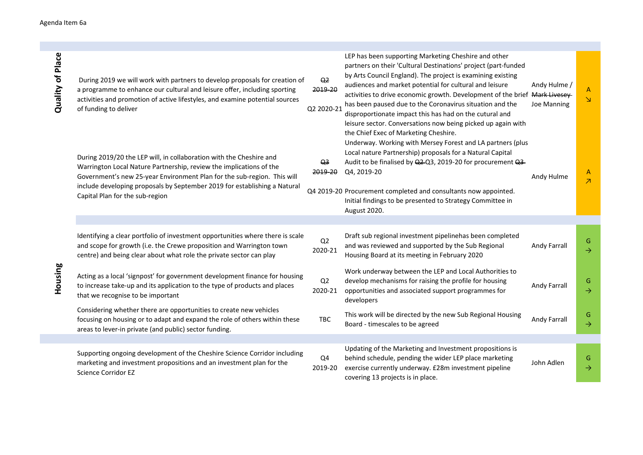| Quality of Place | During 2019 we will work with partners to develop proposals for creation of<br>a programme to enhance our cultural and leisure offer, including sporting<br>activities and promotion of active lifestyles, and examine potential sources<br>of funding to deliver                                                                     | Q <sub>2</sub><br>2019-20<br>Q2 2020-21 | LEP has been supporting Marketing Cheshire and other<br>partners on their 'Cultural Destinations' project (part-funded<br>by Arts Council England). The project is examining existing<br>audiences and market potential for cultural and leisure<br>activities to drive economic growth. Development of the brief Mark Livesey<br>has been paused due to the Coronavirus situation and the<br>disproportionate impact this has had on the cutural and<br>leisure sector. Conversations now being picked up again with<br>the Chief Exec of Marketing Cheshire. | Andy Hulme /<br>Joe Manning | $\mathsf{A}$<br>$\Delta$                 |
|------------------|---------------------------------------------------------------------------------------------------------------------------------------------------------------------------------------------------------------------------------------------------------------------------------------------------------------------------------------|-----------------------------------------|----------------------------------------------------------------------------------------------------------------------------------------------------------------------------------------------------------------------------------------------------------------------------------------------------------------------------------------------------------------------------------------------------------------------------------------------------------------------------------------------------------------------------------------------------------------|-----------------------------|------------------------------------------|
|                  | During 2019/20 the LEP will, in collaboration with the Cheshire and<br>Warrington Local Nature Partnership, review the implications of the<br>Government's new 25-year Environment Plan for the sub-region. This will<br>include developing proposals by September 2019 for establishing a Natural<br>Capital Plan for the sub-region | Q <sub>3</sub><br>2019-20               | Underway. Working with Mersey Forest and LA partners (plus<br>Local nature Partnership) proposals for a Natural Capital<br>Audit to be finalised by Q2-Q3, 2019-20 for procurement Q3-<br>Q4, 2019-20<br>Q4 2019-20 Procurement completed and consultants now appointed.<br>Initial findings to be presented to Strategy Committee in<br>August 2020.                                                                                                                                                                                                          | Andy Hulme                  | $\mathsf{A}$<br>$\overline{\mathcal{A}}$ |
|                  |                                                                                                                                                                                                                                                                                                                                       |                                         |                                                                                                                                                                                                                                                                                                                                                                                                                                                                                                                                                                |                             |                                          |
| Housing          | Identifying a clear portfolio of investment opportunities where there is scale<br>and scope for growth (i.e. the Crewe proposition and Warrington town<br>centre) and being clear about what role the private sector can play                                                                                                         | Q <sub>2</sub><br>2020-21               | Draft sub regional investment pipelinehas been completed<br>and was reviewed and supported by the Sub Regional<br>Housing Board at its meeting in February 2020                                                                                                                                                                                                                                                                                                                                                                                                | Andy Farrall                | G<br>$\rightarrow$                       |
|                  | Acting as a local 'signpost' for government development finance for housing<br>to increase take-up and its application to the type of products and places<br>that we recognise to be important                                                                                                                                        | Q2<br>2020-21                           | Work underway between the LEP and Local Authorities to<br>develop mechanisms for raising the profile for housing<br>opportunities and associated support programmes for<br>developers                                                                                                                                                                                                                                                                                                                                                                          | Andy Farrall                | G<br>$\rightarrow$                       |
|                  | Considering whether there are opportunities to create new vehicles<br>focusing on housing or to adapt and expand the role of others within these<br>areas to lever-in private (and public) sector funding.                                                                                                                            | TBC                                     | This work will be directed by the new Sub Regional Housing<br>Board - timescales to be agreed                                                                                                                                                                                                                                                                                                                                                                                                                                                                  | Andy Farrall                | G<br>$\rightarrow$                       |
|                  |                                                                                                                                                                                                                                                                                                                                       |                                         |                                                                                                                                                                                                                                                                                                                                                                                                                                                                                                                                                                |                             |                                          |
|                  | Supporting ongoing development of the Cheshire Science Corridor including<br>marketing and investment propositions and an investment plan for the<br><b>Science Corridor EZ</b>                                                                                                                                                       | Q4<br>2019-20                           | Updating of the Marketing and Investment propositions is<br>behind schedule, pending the wider LEP place marketing<br>exercise currently underway. £28m investment pipeline<br>covering 13 projects is in place.                                                                                                                                                                                                                                                                                                                                               | John Adlen                  | G<br>$\rightarrow$                       |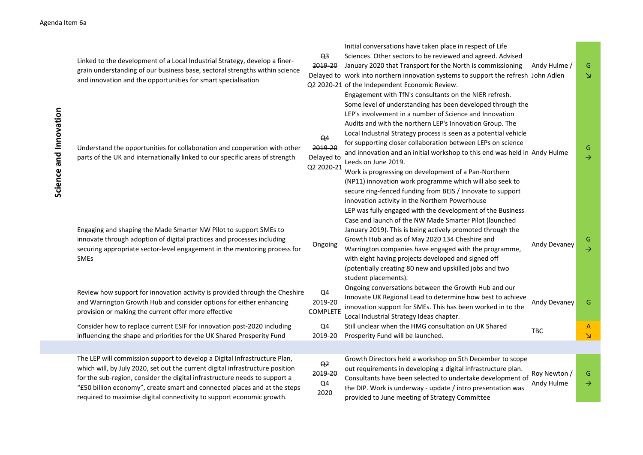| Science and Innovation | Linked to the development of a Local Industrial Strategy, develop a finer-<br>grain understanding of our business base, sectoral strengths within science<br>and innovation and the opportunities for smart specialisation                                                                                                                                                                     | Q <sub>3</sub><br>2019-20<br>Q <sub>4</sub> | Initial conversations have taken place in respect of Life<br>Sciences. Other sectors to be reviewed and agreed. Advised<br>January 2020 that Transport for the North is commissioning<br>Delayed to work into northern innovation systems to support the refresh John Adlen<br>Q2 2020-21 of the Independent Economic Review.<br>Engagement with TfN's consultants on the NIER refresh.<br>Some level of understanding has been developed through the<br>LEP's involvement in a number of Science and Innovation<br>Audits and with the northern LEP's Innovation Group. The<br>Local Industrial Strategy process is seen as a potential vehicle<br>for supporting closer collaboration between LEPs on science | Andy Hulme /               | G<br>N             |
|------------------------|------------------------------------------------------------------------------------------------------------------------------------------------------------------------------------------------------------------------------------------------------------------------------------------------------------------------------------------------------------------------------------------------|---------------------------------------------|-----------------------------------------------------------------------------------------------------------------------------------------------------------------------------------------------------------------------------------------------------------------------------------------------------------------------------------------------------------------------------------------------------------------------------------------------------------------------------------------------------------------------------------------------------------------------------------------------------------------------------------------------------------------------------------------------------------------|----------------------------|--------------------|
|                        | Understand the opportunities for collaboration and cooperation with other<br>parts of the UK and internationally linked to our specific areas of strength                                                                                                                                                                                                                                      | 2019-20<br>Delayed to<br>Q2 2020-21         | and innovation and an initial workshop to this end was held in Andy Hulme<br>Leeds on June 2019.<br>Work is progressing on development of a Pan-Northern<br>(NP11) innovation work programme which will also seek to<br>secure ring-fenced funding from BEIS / Innovate to support<br>innovation activity in the Northern Powerhouse<br>LEP was fully engaged with the development of the Business<br>Case and launch of the NW Made Smarter Pilot (launched                                                                                                                                                                                                                                                    |                            | G<br>$\rightarrow$ |
|                        | Engaging and shaping the Made Smarter NW Pilot to support SMEs to<br>innovate through adoption of digital practices and processes including<br>securing appropriate sector-level engagement in the mentoring process for<br><b>SMEs</b>                                                                                                                                                        | Ongoing                                     | January 2019). This is being actively promoted through the<br>Growth Hub and as of May 2020 134 Cheshire and<br>Warrington companies have engaged with the programme,<br>with eight having projects developed and signed off<br>(potentially creating 80 new and upskilled jobs and two<br>student placements).                                                                                                                                                                                                                                                                                                                                                                                                 | Andy Devaney               | G<br>$\rightarrow$ |
|                        | Review how support for innovation activity is provided through the Cheshire<br>and Warrington Growth Hub and consider options for either enhancing<br>provision or making the current offer more effective                                                                                                                                                                                     | Q4<br>2019-20<br><b>COMPLETE</b>            | Ongoing conversations between the Growth Hub and our<br>Innovate UK Regional Lead to determine how best to achieve<br>innovation support for SMEs. This has been worked in to the<br>Local Industrial Strategy Ideas chapter.                                                                                                                                                                                                                                                                                                                                                                                                                                                                                   | Andy Devaney               | G                  |
|                        | Consider how to replace current ESIF for innovation post-2020 including<br>influencing the shape and priorities for the UK Shared Prosperity Fund                                                                                                                                                                                                                                              | Q4<br>2019-20                               | Still unclear when the HMG consultation on UK Shared<br>Prosperity Fund will be launched.                                                                                                                                                                                                                                                                                                                                                                                                                                                                                                                                                                                                                       | <b>TBC</b>                 | A<br>N             |
|                        |                                                                                                                                                                                                                                                                                                                                                                                                |                                             |                                                                                                                                                                                                                                                                                                                                                                                                                                                                                                                                                                                                                                                                                                                 |                            |                    |
|                        | The LEP will commission support to develop a Digital Infrastructure Plan,<br>which will, by July 2020, set out the current digital infrastructure position<br>for the sub-region, consider the digital infrastructure needs to support a<br>"£50 billion economy", create smart and connected places and at the steps<br>required to maximise digital connectivity to support economic growth. | Q <sub>2</sub><br>2019-20<br>Q4<br>2020     | Growth Directors held a workshop on 5th December to scope<br>out requirements in developing a digital infrastructure plan.<br>Consultants have been selected to undertake development of<br>the DIP. Work is underway - update / intro presentation was<br>provided to June meeting of Strategy Committee                                                                                                                                                                                                                                                                                                                                                                                                       | Roy Newton /<br>Andy Hulme | G<br>$\rightarrow$ |